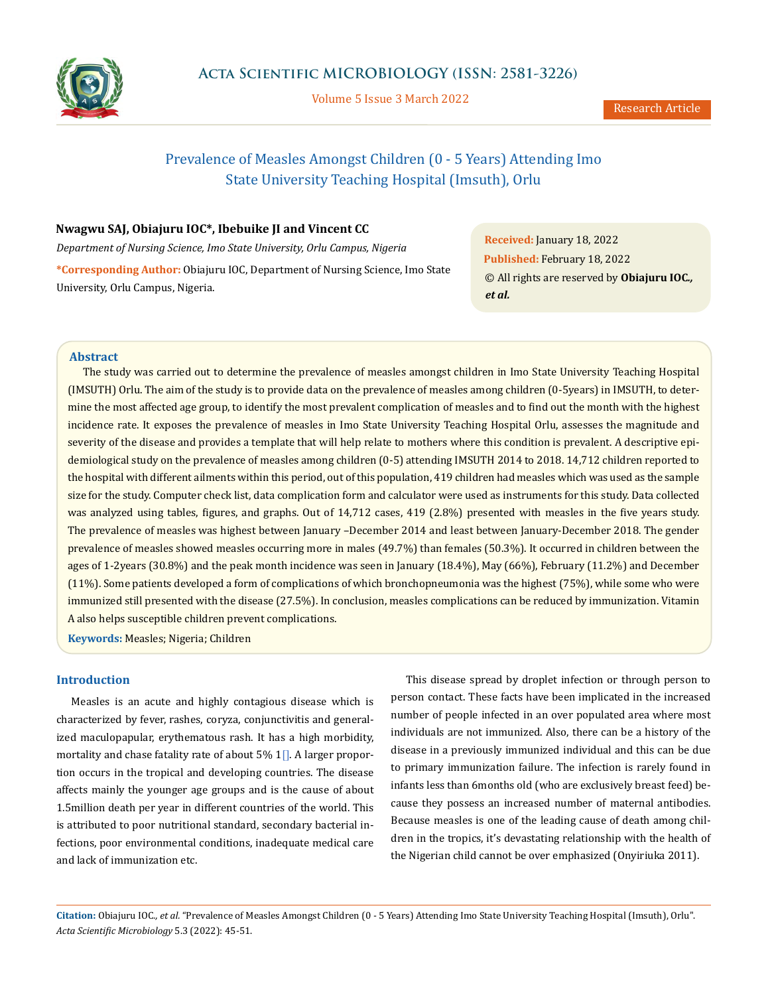

Volume 5 Issue 3 March 2022

# Prevalence of Measles Amongst Children (0 - 5 Years) Attending Imo State University Teaching Hospital (Imsuth), Orlu

## **Nwagwu SAJ, Obiajuru IOC\*, Ibebuike JI and Vincent CC**

*Department of Nursing Science, Imo State University, Orlu Campus, Nigeria*

**\*Corresponding Author:** Obiajuru IOC, Department of Nursing Science, Imo State University, Orlu Campus, Nigeria.

**Received:** January 18, 2022 **Published:** February 18, 2022 © All rights are reserved by **Obiajuru IOC***., et al.*

## **Abstract**

The study was carried out to determine the prevalence of measles amongst children in Imo State University Teaching Hospital (IMSUTH) Orlu. The aim of the study is to provide data on the prevalence of measles among children (0-5years) in IMSUTH, to determine the most affected age group, to identify the most prevalent complication of measles and to find out the month with the highest incidence rate. It exposes the prevalence of measles in Imo State University Teaching Hospital Orlu, assesses the magnitude and severity of the disease and provides a template that will help relate to mothers where this condition is prevalent. A descriptive epidemiological study on the prevalence of measles among children (0-5) attending IMSUTH 2014 to 2018. 14,712 children reported to the hospital with different ailments within this period, out of this population, 419 children had measles which was used as the sample size for the study. Computer check list, data complication form and calculator were used as instruments for this study. Data collected was analyzed using tables, figures, and graphs. Out of 14,712 cases, 419 (2.8%) presented with measles in the five years study. The prevalence of measles was highest between January –December 2014 and least between January-December 2018. The gender prevalence of measles showed measles occurring more in males (49.7%) than females (50.3%). It occurred in children between the ages of 1-2years (30.8%) and the peak month incidence was seen in January (18.4%), May (66%), February (11.2%) and December (11%). Some patients developed a form of complications of which bronchopneumonia was the highest (75%), while some who were immunized still presented with the disease (27.5%). In conclusion, measles complications can be reduced by immunization. Vitamin A also helps susceptible children prevent complications.

**Keywords:** Measles; Nigeria; Children

#### **Introduction**

Measles is an acute and highly contagious disease which is characterized by fever, rashes, coryza, conjunctivitis and generalized maculopapular, erythematous rash. It has a high morbidity, mortality and chase fatality rate of about 5%  $1$ . A larger proportion occurs in the tropical and developing countries. The disease affects mainly the younger age groups and is the cause of about 1.5million death per year in different countries of the world. This is attributed to poor nutritional standard, secondary bacterial infections, poor environmental conditions, inadequate medical care and lack of immunization etc.

This disease spread by droplet infection or through person to person contact. These facts have been implicated in the increased number of people infected in an over populated area where most individuals are not immunized. Also, there can be a history of the disease in a previously immunized individual and this can be due to primary immunization failure. The infection is rarely found in infants less than 6months old (who are exclusively breast feed) because they possess an increased number of maternal antibodies. Because measles is one of the leading cause of death among children in the tropics, it's devastating relationship with the health of the Nigerian child cannot be over emphasized (Onyiriuka 2011).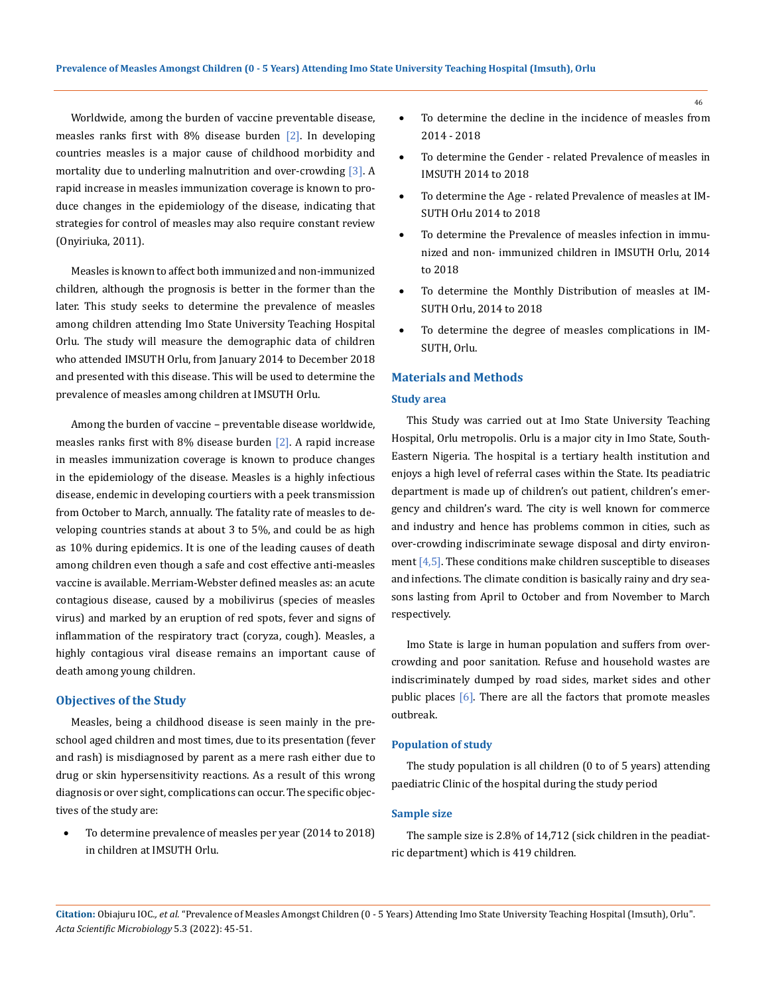Worldwide, among the burden of vaccine preventable disease, measles ranks first with 8% disease burden  $\lceil 2 \rceil$ . In developing countries measles is a major cause of childhood morbidity and mortality due to underling malnutrition and over-crowding [3]. A rapid increase in measles immunization coverage is known to produce changes in the epidemiology of the disease, indicating that strategies for control of measles may also require constant review (Onyiriuka, 2011).

Measles is known to affect both immunized and non-immunized children, although the prognosis is better in the former than the later. This study seeks to determine the prevalence of measles among children attending Imo State University Teaching Hospital Orlu. The study will measure the demographic data of children who attended IMSUTH Orlu, from January 2014 to December 2018 and presented with this disease. This will be used to determine the prevalence of measles among children at IMSUTH Orlu.

Among the burden of vaccine – preventable disease worldwide, measles ranks first with 8% disease burden [2]. A rapid increase in measles immunization coverage is known to produce changes in the epidemiology of the disease. Measles is a highly infectious disease, endemic in developing courtiers with a peek transmission from October to March, annually. The fatality rate of measles to developing countries stands at about 3 to 5%, and could be as high as 10% during epidemics. It is one of the leading causes of death among children even though a safe and cost effective anti-measles vaccine is available. Merriam-Webster defined measles as: an acute contagious disease, caused by a mobilivirus (species of measles virus) and marked by an eruption of red spots, fever and signs of inflammation of the respiratory tract (coryza, cough). Measles, a highly contagious viral disease remains an important cause of death among young children.

## **Objectives of the Study**

Measles, being a childhood disease is seen mainly in the preschool aged children and most times, due to its presentation (fever and rash) is misdiagnosed by parent as a mere rash either due to drug or skin hypersensitivity reactions. As a result of this wrong diagnosis or over sight, complications can occur. The specific objectives of the study are:

To determine prevalence of measles per year (2014 to 2018) in children at IMSUTH Orlu.

- To determine the decline in the incidence of measles from 2014 - 2018
- To determine the Gender related Prevalence of measles in IMSUTH 2014 to 2018
- To determine the Age related Prevalence of measles at IM-SUTH Orlu 2014 to 2018
- To determine the Prevalence of measles infection in immunized and non- immunized children in IMSUTH Orlu, 2014 to 2018
- To determine the Monthly Distribution of measles at IM-SUTH Orlu, 2014 to 2018
- To determine the degree of measles complications in IM-SUTH, Orlu.

## **Materials and Methods**

## **Study area**

This Study was carried out at Imo State University Teaching Hospital, Orlu metropolis. Orlu is a major city in Imo State, South-Eastern Nigeria. The hospital is a tertiary health institution and enjoys a high level of referral cases within the State. Its peadiatric department is made up of children's out patient, children's emergency and children's ward. The city is well known for commerce and industry and hence has problems common in cities, such as over-crowding indiscriminate sewage disposal and dirty environment [4,5]. These conditions make children susceptible to diseases and infections. The climate condition is basically rainy and dry seasons lasting from April to October and from November to March respectively.

Imo State is large in human population and suffers from overcrowding and poor sanitation. Refuse and household wastes are indiscriminately dumped by road sides, market sides and other public places [6]. There are all the factors that promote measles outbreak.

## **Population of study**

The study population is all children (0 to of 5 years) attending paediatric Clinic of the hospital during the study period

#### **Sample size**

The sample size is 2.8% of 14,712 (sick children in the peadiatric department) which is 419 children.

**Citation:** Obiajuru IOC*., et al.* "Prevalence of Measles Amongst Children (0 - 5 Years) Attending Imo State University Teaching Hospital (Imsuth), Orlu". *Acta Scientific Microbiology* 5.3 (2022): 45-51.

46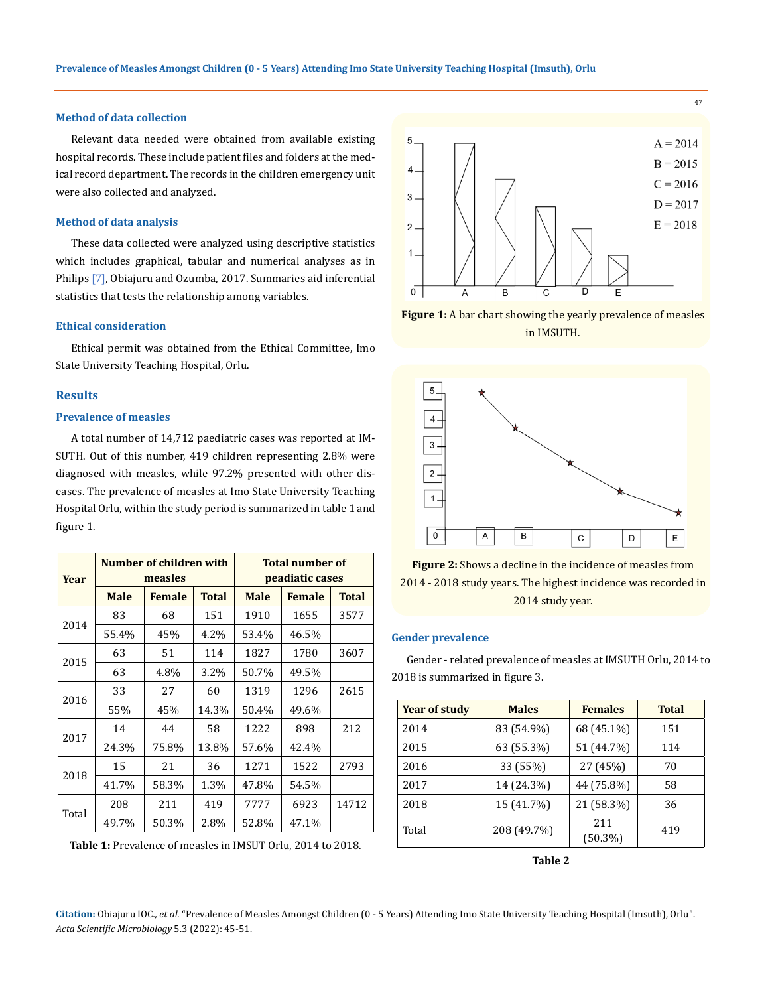## **Method of data collection**

Relevant data needed were obtained from available existing hospital records. These include patient files and folders at the medical record department. The records in the children emergency unit were also collected and analyzed.

#### **Method of data analysis**

These data collected were analyzed using descriptive statistics which includes graphical, tabular and numerical analyses as in Philips [7], Obiajuru and Ozumba, 2017. Summaries aid inferential statistics that tests the relationship among variables.

#### **Ethical consideration**

Ethical permit was obtained from the Ethical Committee, Imo State University Teaching Hospital, Orlu.

#### **Results**

#### **Prevalence of measles**

A total number of 14,712 paediatric cases was reported at IM-SUTH. Out of this number, 419 children representing 2.8% were diagnosed with measles, while 97.2% presented with other diseases. The prevalence of measles at Imo State University Teaching Hospital Orlu, within the study period is summarized in table 1 and figure 1.

| Year  | Number of children with<br>measles |               | <b>Total number of</b><br>peadiatic cases |             |               |       |
|-------|------------------------------------|---------------|-------------------------------------------|-------------|---------------|-------|
|       | <b>Male</b>                        | <b>Female</b> | <b>Total</b>                              | <b>Male</b> | <b>Female</b> | Total |
|       | 83                                 | 68            | 151                                       | 1910        | 1655          | 3577  |
| 2014  | 55.4%                              | 45%           | 4.2%                                      | 53.4%       | 46.5%         |       |
|       | 63                                 | 51            | 114                                       | 1827        | 1780          | 3607  |
| 2015  | 63                                 | 4.8%          | 3.2%                                      | 50.7%       | 49.5%         |       |
| 2016  | 33                                 | 27            | 60                                        | 1319        | 1296          | 2615  |
|       | 55%                                | 45%           | 14.3%                                     | 50.4%       | 49.6%         |       |
| 2017  | 14                                 | 44            | 58                                        | 1222        | 898           | 212   |
|       | 24.3%                              | 75.8%         | 13.8%                                     | 57.6%       | 42.4%         |       |
| 2018  | 15                                 | 21            | 36                                        | 1271        | 1522          | 2793  |
|       | 41.7%                              | 58.3%         | 1.3%                                      | 47.8%       | 54.5%         |       |
| Total | 208                                | 211           | 419                                       | 7777        | 6923          | 14712 |
|       | 49.7%                              | 50.3%         | 2.8%                                      | 52.8%       | 47.1%         |       |

**Table 1:** Prevalence of measles in IMSUT Orlu, 2014 to 2018.



47

**Figure 1:** A bar chart showing the yearly prevalence of measles in IMSUTH.





#### **Gender prevalence**

Gender - related prevalence of measles at IMSUTH Orlu, 2014 to 2018 is summarized in figure 3.

| <b>Year of study</b> | <b>Males</b> | <b>Females</b>    | <b>Total</b> |
|----------------------|--------------|-------------------|--------------|
| 2014                 | 83 (54.9%)   | 68 (45.1%)        | 151          |
| 2015                 | 63 (55.3%)   | 51 (44.7%)        | 114          |
| 2016                 | 33 (55%)     | 27 (45%)          | 70           |
| 2017                 | 14 (24.3%)   | 44 (75.8%)        | 58           |
| 2018                 | 15 (41.7%)   | 21 (58.3%)        | 36           |
| Total                | 208 (49.7%)  | 211<br>$(50.3\%)$ | 419          |

**Table 2**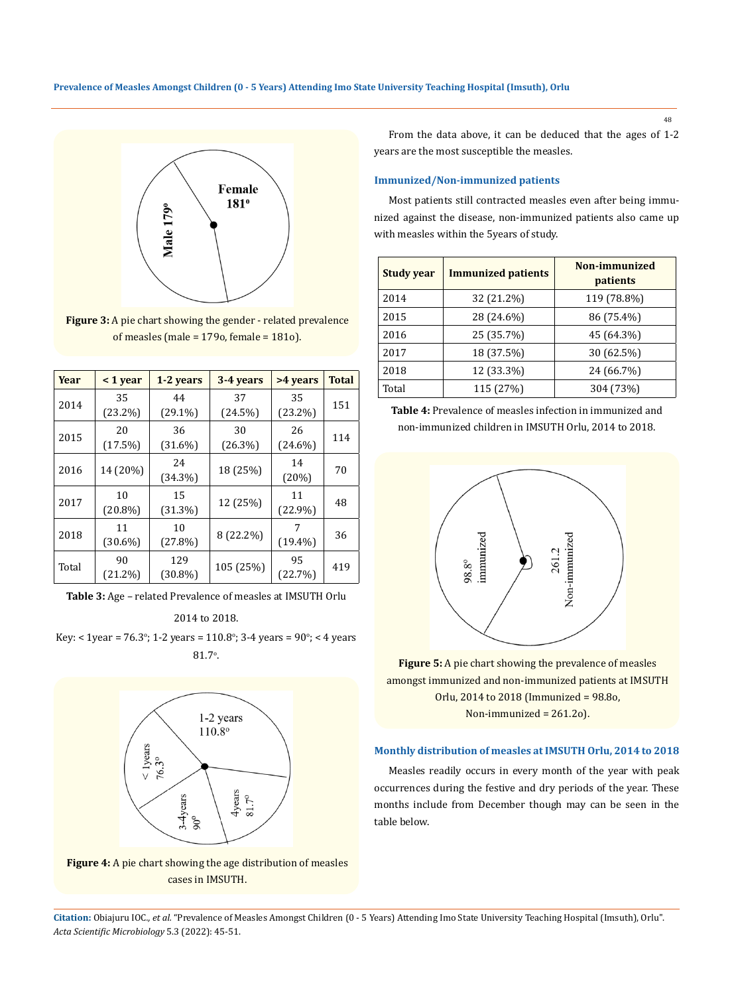**Prevalence of Measles Amongst Children (0 - 5 Years) Attending Imo State University Teaching Hospital (Imsuth), Orlu**



**Figure 3:** A pie chart showing the gender - related prevalence of measles (male = 179o, female = 181o).

| Year  | $<$ 1 year | 1-2 years  | 3-4 years      | >4 years   | Total |  |
|-------|------------|------------|----------------|------------|-------|--|
| 2014  | 35         | 44         | 37             | 35         | 151   |  |
|       | $(23.2\%)$ | $(29.1\%)$ | (24.5%)        | $(23.2\%)$ |       |  |
|       | 20         | 36         | 30             | 26         | 114   |  |
| 2015  | (17.5%)    | $(31.6\%)$ | $(26.3\%)$     | $(24.6\%)$ |       |  |
| 2016  | 14 (20%)   | 24         | 14<br>18 (25%) |            | 70    |  |
|       |            | (34.3%)    |                | (20%)      |       |  |
| 2017  | 10         | 15         | 12 (25%)       | 11         | 48    |  |
|       | $(20.8\%)$ | (31.3%)    |                | $(22.9\%)$ |       |  |
| 2018  | 11         | 10         |                | 7          | 36    |  |
|       | $(30.6\%)$ | $(27.8\%)$ | 8 (22.2%)      | $(19.4\%)$ |       |  |
| Total | 90         | 129        |                | 95         |       |  |
|       | $(21.2\%)$ | $(30.8\%)$ | 105 (25%)      | (22.7%)    | 419   |  |

**Table 3:** Age – related Prevalence of measles at IMSUTH Orlu

### 2014 to 2018.

Key: < 1 year = 76.3°; 1-2 years = 110.8°; 3-4 years = 90°; < 4 years  $81.7^{\circ}$ .



**Figure 4:** A pie chart showing the age distribution of measles cases in IMSUTH.

From the data above, it can be deduced that the ages of 1-2 years are the most susceptible the measles.

## **Immunized/Non-immunized patients**

Most patients still contracted measles even after being immunized against the disease, non-immunized patients also came up with measles within the 5years of study.

| <b>Study year</b> | <b>Immunized patients</b> | Non-immunized<br>patients |
|-------------------|---------------------------|---------------------------|
| 2014              | 32 (21.2%)                | 119 (78.8%)               |
| 2015              | 28 (24.6%)                | 86 (75.4%)                |
| 2016              | 25 (35.7%)                | 45 (64.3%)                |
| 2017              | 18 (37.5%)                | 30 (62.5%)                |
| 2018              | 12 (33.3%)                | 24 (66.7%)                |
| Total             | 115 (27%)                 | 304 (73%)                 |





**Figure 5:** A pie chart showing the prevalence of measles amongst immunized and non-immunized patients at IMSUTH Orlu, 2014 to 2018 (Immunized = 98.8o, Non-immunized = 261.2o).

## **Monthly distribution of measles at IMSUTH Orlu, 2014 to 2018**

Measles readily occurs in every month of the year with peak occurrences during the festive and dry periods of the year. These months include from December though may can be seen in the table below.

**Citation:** Obiajuru IOC*., et al.* "Prevalence of Measles Amongst Children (0 - 5 Years) Attending Imo State University Teaching Hospital (Imsuth), Orlu". *Acta Scientific Microbiology* 5.3 (2022): 45-51.

48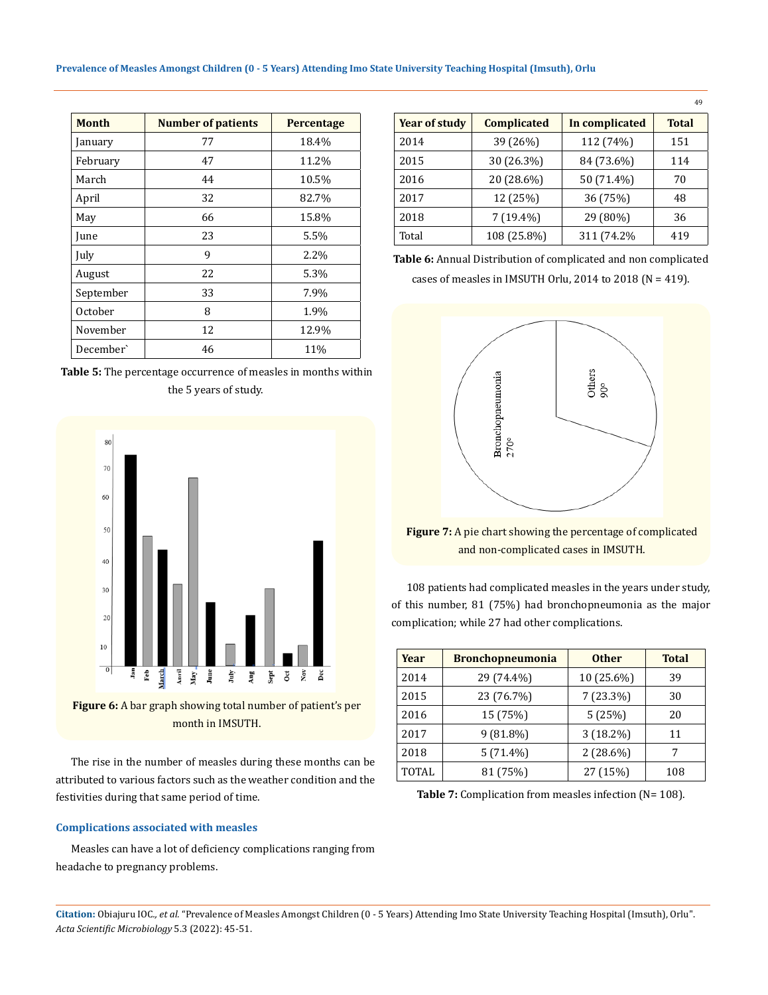| <b>Month</b> | <b>Number of patients</b> | <b>Percentage</b> |
|--------------|---------------------------|-------------------|
| January      | 77                        | 18.4%             |
| February     | 47                        | 11.2%             |
| March        | 44                        | 10.5%             |
| April        | 32                        | 82.7%             |
| May          | 66                        | 15.8%             |
| June         | 23                        | 5.5%              |
| July         | 9                         | 2.2%              |
| August       | 22                        | 5.3%              |
| September    | 33                        | 7.9%              |
| October      | 8                         | 1.9%              |
| November     | 12                        | 12.9%             |
| December`    | 46                        | 11%               |

**Table 5:** The percentage occurrence of measles in months within the 5 years of study.



month in IMSUTH.

The rise in the number of measles during these months can be attributed to various factors such as the weather condition and the festivities during that same period of time.

## **Complications associated with measles**

Measles can have a lot of deficiency complications ranging from headache to pregnancy problems.

| <b>Year of study</b> | <b>Complicated</b> | In complicated | <b>Total</b> |
|----------------------|--------------------|----------------|--------------|
| 2014                 | 39 (26%)           | 112 (74%)      | 151          |
| 2015                 | 30 (26.3%)         | 84 (73.6%)     | 114          |
| 2016                 | 20 (28.6%)         | 50 (71.4%)     | 70           |
| 2017                 | 12 (25%)           | 36 (75%)       | 48           |
| 2018                 | $7(19.4\%)$        | 29 (80%)       | 36           |
| Total                | 108 (25.8%)        | 311 (74.2%     | 419          |

49

**Table 6:** Annual Distribution of complicated and non complicated cases of measles in IMSUTH Orlu, 2014 to 2018 ( $N = 419$ ).



**Figure 7:** A pie chart showing the percentage of complicated and non-complicated cases in IMSUTH.

108 patients had complicated measles in the years under study, of this number, 81 (75%) had bronchopneumonia as the major complication; while 27 had other complications.

| Year  | <b>Bronchopneumonia</b> | <b>Other</b> | <b>Total</b> |
|-------|-------------------------|--------------|--------------|
| 2014  | 29 (74.4%)              | 10 (25.6%)   | 39           |
| 2015  | 23 (76.7%)              | $7(23.3\%)$  | 30           |
| 2016  | 15 (75%)                | 5(25%)       | 20           |
| 2017  | $9(81.8\%)$             | $3(18.2\%)$  | 11           |
| 2018  | $5(71.4\%)$             | $2(28.6\%)$  |              |
| TOTAL | 81 (75%)                | 27 (15%)     | 108          |

Table 7: Complication from measles infection (N= 108).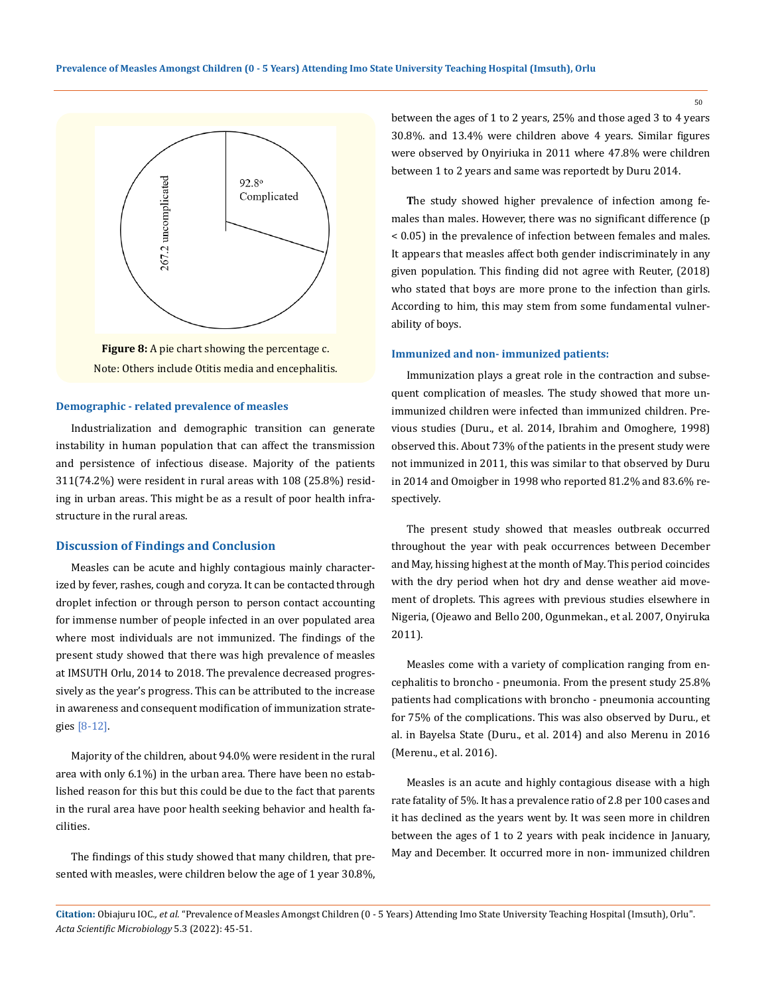

**Figure 8:** A pie chart showing the percentage c. Note: Others include Otitis media and encephalitis.

## **Demographic - related prevalence of measles**

Industrialization and demographic transition can generate instability in human population that can affect the transmission and persistence of infectious disease. Majority of the patients 311(74.2%) were resident in rural areas with 108 (25.8%) residing in urban areas. This might be as a result of poor health infrastructure in the rural areas.

## **Discussion of Findings and Conclusion**

Measles can be acute and highly contagious mainly characterized by fever, rashes, cough and coryza. It can be contacted through droplet infection or through person to person contact accounting for immense number of people infected in an over populated area where most individuals are not immunized. The findings of the present study showed that there was high prevalence of measles at IMSUTH Orlu, 2014 to 2018. The prevalence decreased progressively as the year's progress. This can be attributed to the increase in awareness and consequent modification of immunization strategies [8-12].

Majority of the children, about 94.0% were resident in the rural area with only 6.1%) in the urban area. There have been no established reason for this but this could be due to the fact that parents in the rural area have poor health seeking behavior and health facilities.

The findings of this study showed that many children, that presented with measles, were children below the age of 1 year 30.8%, between the ages of 1 to 2 years, 25% and those aged 3 to 4 years 30.8%. and 13.4% were children above 4 years. Similar figures were observed by Onyiriuka in 2011 where 47.8% were children between 1 to 2 years and same was reportedt by Duru 2014.

**T**he study showed higher prevalence of infection among females than males. However, there was no significant difference (p < 0.05) in the prevalence of infection between females and males. It appears that measles affect both gender indiscriminately in any given population. This finding did not agree with Reuter, (2018) who stated that boys are more prone to the infection than girls. According to him, this may stem from some fundamental vulnerability of boys.

#### **Immunized and non- immunized patients:**

Immunization plays a great role in the contraction and subsequent complication of measles. The study showed that more unimmunized children were infected than immunized children. Previous studies (Duru., et al. 2014, Ibrahim and Omoghere, 1998) observed this. About 73% of the patients in the present study were not immunized in 2011, this was similar to that observed by Duru in 2014 and Omoigber in 1998 who reported 81.2% and 83.6% respectively.

The present study showed that measles outbreak occurred throughout the year with peak occurrences between December and May, hissing highest at the month of May. This period coincides with the dry period when hot dry and dense weather aid movement of droplets. This agrees with previous studies elsewhere in Nigeria, (Ojeawo and Bello 200, Ogunmekan., et al. 2007, Onyiruka 2011).

Measles come with a variety of complication ranging from encephalitis to broncho - pneumonia. From the present study 25.8% patients had complications with broncho - pneumonia accounting for 75% of the complications. This was also observed by Duru., et al. in Bayelsa State (Duru., et al. 2014) and also Merenu in 2016 (Merenu., et al. 2016).

Measles is an acute and highly contagious disease with a high rate fatality of 5%. It has a prevalence ratio of 2.8 per 100 cases and it has declined as the years went by. It was seen more in children between the ages of 1 to 2 years with peak incidence in January, May and December. It occurred more in non- immunized children